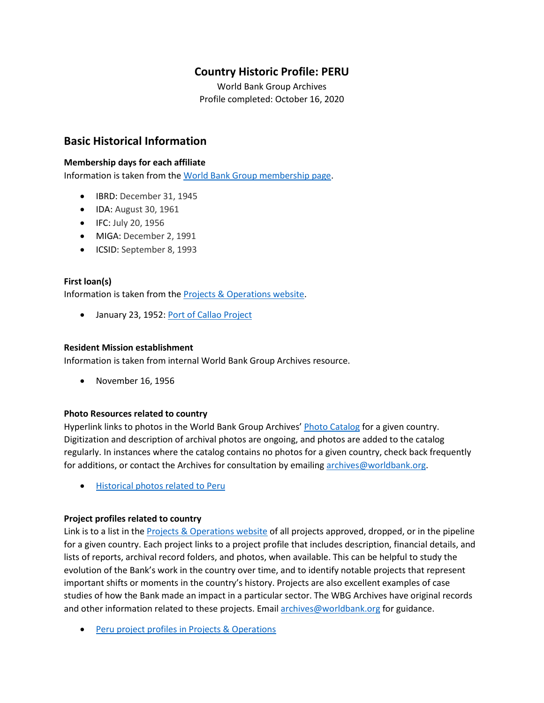## **Country Historic Profile: PERU**

World Bank Group Archives Profile completed: October 16, 2020

## **Basic Historical Information**

#### **Membership days for each affiliate**

Information is taken from the [World Bank Group membership page.](https://www.worldbank.org/en/about/leadership/members#1)

- IBRD: December 31, 1945
- IDA: August 30, 1961
- IFC: July 20, 1956
- MIGA: December 2, 1991
- ICSID: September 8, 1993

#### **First loan(s)**

Information is taken from the [Projects & Operations website.](https://projects.worldbank.org/)

• January 23, 1952: [Port of Callao Project](https://projects.worldbank.org/en/projects-operations/project-detail/P007929)

#### **Resident Mission establishment**

Information is taken from internal World Bank Group Archives resource.

• November 16, 1956

#### **Photo Resources related to country**

Hyperlink links to photos in the World Bank Group Archives' [Photo Catalog](https://archivesphotos.worldbank.org/en/about/archives/photo-gallery) for a given country. Digitization and description of archival photos are ongoing, and photos are added to the catalog regularly. In instances where the catalog contains no photos for a given country, check back frequently for additions, or contact the Archives for consultation by emailin[g archives@worldbank.org.](mailto:archives@worldbank.org)

• [Historical photos related to Peru](https://archivesphotos.worldbank.org/en/about/archives/photo-gallery/photo-gallery-landing?qterm=peru&x=0&y=0)

#### **Project profiles related to country**

Link is to a list in the [Projects & Operations website](https://projects.worldbank.org/) of all projects approved, dropped, or in the pipeline for a given country. Each project links to a project profile that includes description, financial details, and lists of reports, archival record folders, and photos, when available. This can be helpful to study the evolution of the Bank's work in the country over time, and to identify notable projects that represent important shifts or moments in the country's history. Projects are also excellent examples of case studies of how the Bank made an impact in a particular sector. The WBG Archives have original records and other information related to these projects. Email [archives@worldbank.org](mailto:archives@worldbank.org) for guidance.

• Peru [project profiles in Projects & Operations](https://projects.worldbank.org/en/projects-operations/projects-summary?countrycode_exact=PE)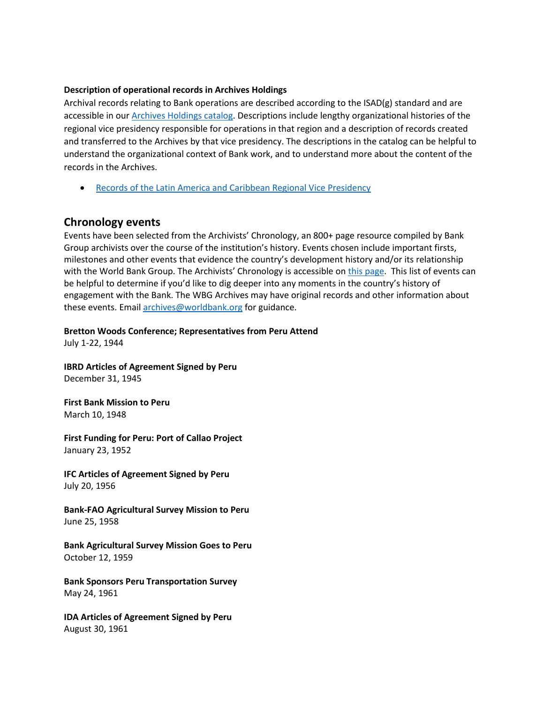#### **Description of operational records in Archives Holdings**

Archival records relating to Bank operations are described according to the ISAD(g) standard and are accessible in our **Archives Holdings catalog**. Descriptions include lengthy organizational histories of the regional vice presidency responsible for operations in that region and a description of records created and transferred to the Archives by that vice presidency. The descriptions in the catalog can be helpful to understand the organizational context of Bank work, and to understand more about the content of the records in the Archives.

• [Records of the Latin America and Caribbean Regional Vice Presidency](https://archivesholdings.worldbank.org/records-of-latin-america-and-caribbean-regional-vice-presidency)

## **Chronology events**

Events have been selected from the Archivists' Chronology, an 800+ page resource compiled by Bank Group archivists over the course of the institution's history. Events chosen include important firsts, milestones and other events that evidence the country's development history and/or its relationship with the World Bank Group. The Archivists' Chronology is accessible on [this page.](https://www.worldbank.org/en/about/archives/history/timeline) This list of events can be helpful to determine if you'd like to dig deeper into any moments in the country's history of engagement with the Bank. The WBG Archives may have original records and other information about these events. Email [archives@worldbank.org](mailto:archives@worldbank.org) for guidance.

**Bretton Woods Conference; Representatives from Peru Attend** 

July 1-22, 1944

**IBRD Articles of Agreement Signed by Peru** December 31, 1945

**First Bank Mission to Peru**  March 10, 1948

**First Funding for Peru: Port of Callao Project**  January 23, 1952

**IFC Articles of Agreement Signed by Peru** July 20, 1956

**Bank-FAO Agricultural Survey Mission to Peru**  June 25, 1958

**Bank Agricultural Survey Mission Goes to Peru** October 12, 1959

**Bank Sponsors Peru Transportation Survey**  May 24, 1961

**IDA Articles of Agreement Signed by Peru** August 30, 1961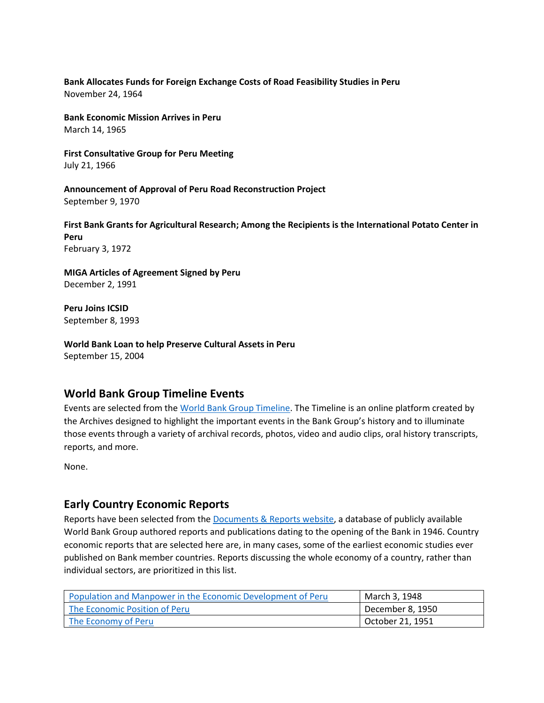#### **Bank Allocates Funds for Foreign Exchange Costs of Road Feasibility Studies in Peru**  November 24, 1964

**Bank Economic Mission Arrives in Peru**  March 14, 1965

**First Consultative Group for Peru Meeting**  July 21, 1966

**Announcement of Approval of Peru Road Reconstruction Project**  September 9, 1970

**First Bank Grants for Agricultural Research; Among the Recipients is the International Potato Center in Peru** February 3, 1972

**MIGA Articles of Agreement Signed by Peru** December 2, 1991

**Peru Joins ICSID** September 8, 1993

**World Bank Loan to help Preserve Cultural Assets in Peru**  September 15, 2004

## **World Bank Group Timeline Events**

Events are selected from th[e World Bank Group Timeline.](https://timeline.worldbank.org/#event-bretton-woods-conference-begins) The Timeline is an online platform created by the Archives designed to highlight the important events in the Bank Group's history and to illuminate those events through a variety of archival records, photos, video and audio clips, oral history transcripts, reports, and more.

None.

## **Early Country Economic Reports**

Reports have been selected from the [Documents & Reports website,](https://documents.worldbank.org/) a database of publicly available World Bank Group authored reports and publications dating to the opening of the Bank in 1946. Country economic reports that are selected here are, in many cases, some of the earliest economic studies ever published on Bank member countries. Reports discussing the whole economy of a country, rather than individual sectors, are prioritized in this list.

| Population and Manpower in the Economic Development of Peru | March 3, 1948    |
|-------------------------------------------------------------|------------------|
| The Economic Position of Peru                               | December 8, 1950 |
| The Economy of Peru                                         | October 21, 1951 |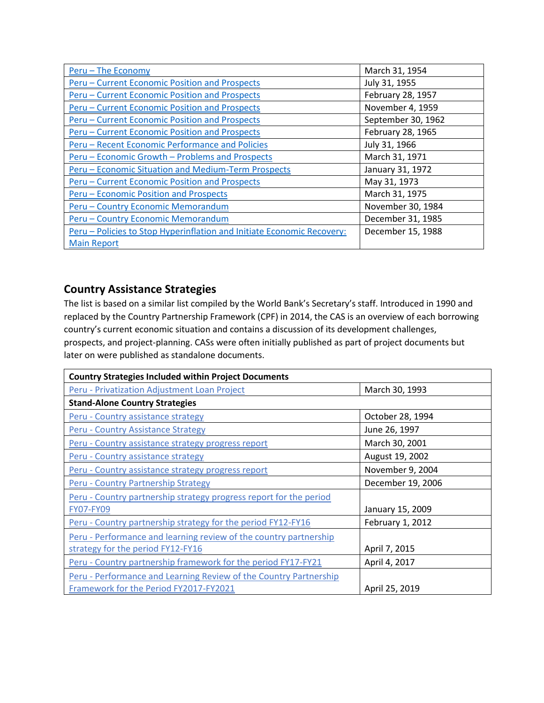| Peru - The Economy                                                     | March 31, 1954     |
|------------------------------------------------------------------------|--------------------|
| Peru - Current Economic Position and Prospects                         | July 31, 1955      |
| Peru - Current Economic Position and Prospects                         | February 28, 1957  |
| <b>Peru - Current Economic Position and Prospects</b>                  | November 4, 1959   |
| Peru – Current Economic Position and Prospects                         | September 30, 1962 |
| Peru - Current Economic Position and Prospects                         | February 28, 1965  |
| Peru - Recent Economic Performance and Policies                        | July 31, 1966      |
| Peru - Economic Growth - Problems and Prospects                        | March 31, 1971     |
| Peru - Economic Situation and Medium-Term Prospects                    | January 31, 1972   |
| Peru - Current Economic Position and Prospects                         | May 31, 1973       |
| Peru – Economic Position and Prospects                                 | March 31, 1975     |
| Peru - Country Economic Memorandum                                     | November 30, 1984  |
| Peru - Country Economic Memorandum                                     | December 31, 1985  |
| Peru - Policies to Stop Hyperinflation and Initiate Economic Recovery: | December 15, 1988  |
| <b>Main Report</b>                                                     |                    |

# **Country Assistance Strategies**

The list is based on a similar list compiled by the World Bank's Secretary's staff. Introduced in 1990 and replaced by the Country Partnership Framework (CPF) in 2014, the CAS is an overview of each borrowing country's current economic situation and contains a discussion of its development challenges, prospects, and project-planning. CASs were often initially published as part of project documents but later on were published as standalone documents.

| <b>Country Strategies Included within Project Documents</b>        |                   |  |  |
|--------------------------------------------------------------------|-------------------|--|--|
| Peru - Privatization Adjustment Loan Project                       | March 30, 1993    |  |  |
| <b>Stand-Alone Country Strategies</b>                              |                   |  |  |
| Peru - Country assistance strategy                                 | October 28, 1994  |  |  |
| <b>Peru - Country Assistance Strategy</b>                          | June 26, 1997     |  |  |
| Peru - Country assistance strategy progress report                 | March 30, 2001    |  |  |
| Peru - Country assistance strategy                                 | August 19, 2002   |  |  |
| Peru - Country assistance strategy progress report                 | November 9, 2004  |  |  |
| <b>Peru - Country Partnership Strategy</b>                         | December 19, 2006 |  |  |
| Peru - Country partnership strategy progress report for the period |                   |  |  |
| <b>FY07-FY09</b>                                                   | January 15, 2009  |  |  |
| Peru - Country partnership strategy for the period FY12-FY16       | February 1, 2012  |  |  |
| Peru - Performance and learning review of the country partnership  |                   |  |  |
| strategy for the period FY12-FY16                                  | April 7, 2015     |  |  |
| Peru - Country partnership framework for the period FY17-FY21      | April 4, 2017     |  |  |
| Peru - Performance and Learning Review of the Country Partnership  |                   |  |  |
| Framework for the Period FY2017-FY2021                             | April 25, 2019    |  |  |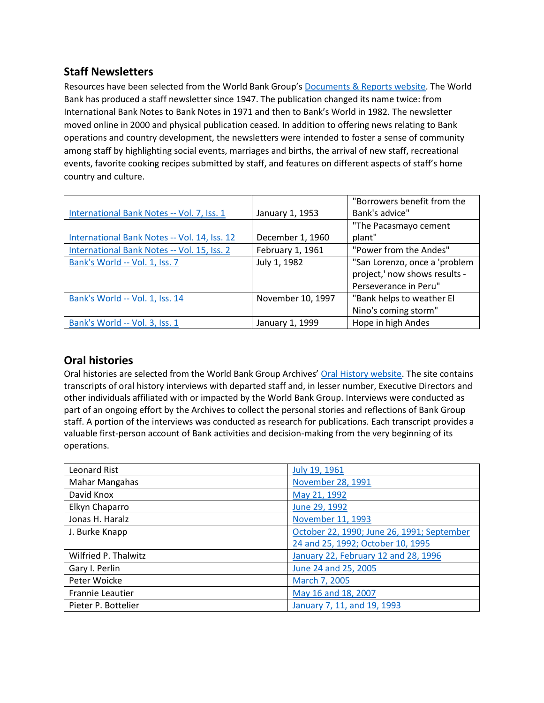## **Staff Newsletters**

Resources have been selected from the World Bank Group's [Documents & Reports website.](https://documents.worldbank.org/) The World Bank has produced a staff newsletter since 1947. The publication changed its name twice: from International Bank Notes to Bank Notes in 1971 and then to Bank's World in 1982. The newsletter moved online in 2000 and physical publication ceased. In addition to offering news relating to Bank operations and country development, the newsletters were intended to foster a sense of community among staff by highlighting social events, marriages and births, the arrival of new staff, recreational events, favorite cooking recipes submitted by staff, and features on different aspects of staff's home country and culture.

|                                              |                   | "Borrowers benefit from the   |
|----------------------------------------------|-------------------|-------------------------------|
| International Bank Notes -- Vol. 7, Iss. 1   | January 1, 1953   | Bank's advice"                |
|                                              |                   | "The Pacasmayo cement         |
| International Bank Notes -- Vol. 14, Iss. 12 | December 1, 1960  | plant"                        |
| International Bank Notes -- Vol. 15, Iss. 2  | February 1, 1961  | "Power from the Andes"        |
| Bank's World -- Vol. 1, Iss. 7               | July 1, 1982      | "San Lorenzo, once a 'problem |
|                                              |                   | project,' now shows results - |
|                                              |                   | Perseverance in Peru"         |
| Bank's World -- Vol. 1, Iss. 14              | November 10, 1997 | "Bank helps to weather El     |
|                                              |                   | Nino's coming storm"          |
| Bank's World -- Vol. 3, Iss. 1               | January 1, 1999   | Hope in high Andes            |

## **Oral histories**

Oral histories are selected from the World Bank Group Archives' [Oral History website.](https://oralhistory.worldbank.org/) The site contains transcripts of oral history interviews with departed staff and, in lesser number, Executive Directors and other individuals affiliated with or impacted by the World Bank Group. Interviews were conducted as part of an ongoing effort by the Archives to collect the personal stories and reflections of Bank Group staff. A portion of the interviews was conducted as research for publications. Each transcript provides a valuable first-person account of Bank activities and decision-making from the very beginning of its operations.

| Leonard Rist            | July 19, 1961                              |
|-------------------------|--------------------------------------------|
| Mahar Mangahas          | November 28, 1991                          |
| David Knox              | May 21, 1992                               |
| Elkyn Chaparro          | June 29, 1992                              |
| Jonas H. Haralz         | November 11, 1993                          |
| J. Burke Knapp          | October 22, 1990; June 26, 1991; September |
|                         | 24 and 25, 1992; October 10, 1995          |
| Wilfried P. Thalwitz    | January 22, February 12 and 28, 1996       |
| Gary I. Perlin          | June 24 and 25, 2005                       |
| Peter Woicke            | March 7, 2005                              |
| <b>Frannie Leautier</b> | May 16 and 18, 2007                        |
| Pieter P. Bottelier     | January 7, 11, and 19, 1993                |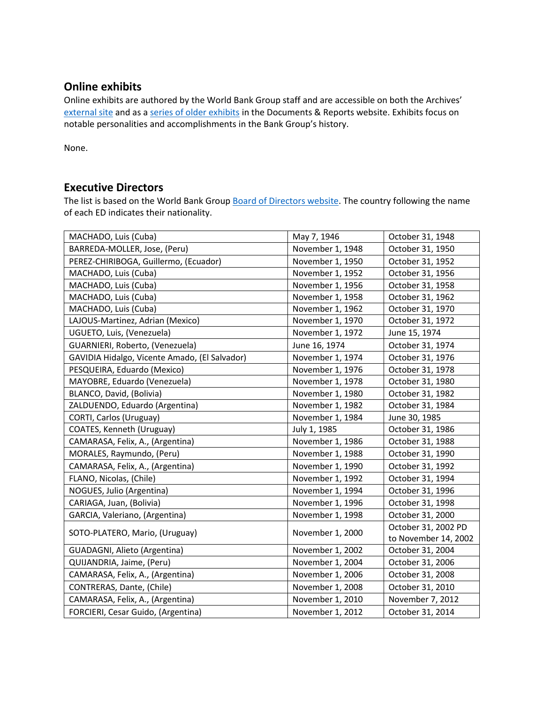## **Online exhibits**

Online exhibits are authored by the World Bank Group staff and are accessible on both the Archives' [external site](https://www.worldbank.org/en/about/archives/history/exhibits) and as a [series of older exhibits](https://documents.worldbank.org/en/publication/documents-reports/documentlist?colti=World%20Bank%20Group%20Archives%20exhibit%20series) in the Documents & Reports website. Exhibits focus on notable personalities and accomplishments in the Bank Group's history.

None.

## **Executive Directors**

The list is based on the World Bank Group [Board of Directors website.](https://worldbankgroup.sharepoint.com/sites/wbsites/ExecutiveBoard/Pages/pc/About-the-Boards-05222019-155532/List-of-Executi-05222019-155839.aspx) The country following the name of each ED indicates their nationality.

| MACHADO, Luis (Cuba)                          | May 7, 1946      | October 31, 1948     |
|-----------------------------------------------|------------------|----------------------|
| BARREDA-MOLLER, Jose, (Peru)                  | November 1, 1948 | October 31, 1950     |
| PEREZ-CHIRIBOGA, Guillermo, (Ecuador)         | November 1, 1950 | October 31, 1952     |
| MACHADO, Luis (Cuba)                          | November 1, 1952 | October 31, 1956     |
| MACHADO, Luis (Cuba)                          | November 1, 1956 | October 31, 1958     |
| MACHADO, Luis (Cuba)                          | November 1, 1958 | October 31, 1962     |
| MACHADO, Luis (Cuba)                          | November 1, 1962 | October 31, 1970     |
| LAJOUS-Martinez, Adrian (Mexico)              | November 1, 1970 | October 31, 1972     |
| UGUETO, Luis, (Venezuela)                     | November 1, 1972 | June 15, 1974        |
| GUARNIERI, Roberto, (Venezuela)               | June 16, 1974    | October 31, 1974     |
| GAVIDIA Hidalgo, Vicente Amado, (El Salvador) | November 1, 1974 | October 31, 1976     |
| PESQUEIRA, Eduardo (Mexico)                   | November 1, 1976 | October 31, 1978     |
| MAYOBRE, Eduardo (Venezuela)                  | November 1, 1978 | October 31, 1980     |
| BLANCO, David, (Bolivia)                      | November 1, 1980 | October 31, 1982     |
| ZALDUENDO, Eduardo (Argentina)                | November 1, 1982 | October 31, 1984     |
| CORTI, Carlos (Uruguay)                       | November 1, 1984 | June 30, 1985        |
| COATES, Kenneth (Uruguay)                     | July 1, 1985     | October 31, 1986     |
| CAMARASA, Felix, A., (Argentina)              | November 1, 1986 | October 31, 1988     |
| MORALES, Raymundo, (Peru)                     | November 1, 1988 | October 31, 1990     |
| CAMARASA, Felix, A., (Argentina)              | November 1, 1990 | October 31, 1992     |
| FLANO, Nicolas, (Chile)                       | November 1, 1992 | October 31, 1994     |
| NOGUES, Julio (Argentina)                     | November 1, 1994 | October 31, 1996     |
| CARIAGA, Juan, (Bolivia)                      | November 1, 1996 | October 31, 1998     |
| GARCIA, Valeriano, (Argentina)                | November 1, 1998 | October 31, 2000     |
|                                               | November 1, 2000 | October 31, 2002 PD  |
| SOTO-PLATERO, Mario, (Uruguay)                |                  | to November 14, 2002 |
| GUADAGNI, Alieto (Argentina)                  | November 1, 2002 | October 31, 2004     |
| QUIJANDRIA, Jaime, (Peru)                     | November 1, 2004 | October 31, 2006     |
| CAMARASA, Felix, A., (Argentina)              | November 1, 2006 | October 31, 2008     |
| CONTRERAS, Dante, (Chile)                     | November 1, 2008 | October 31, 2010     |
| CAMARASA, Felix, A., (Argentina)              | November 1, 2010 | November 7, 2012     |
| FORCIERI, Cesar Guido, (Argentina)            | November 1, 2012 | October 31, 2014     |